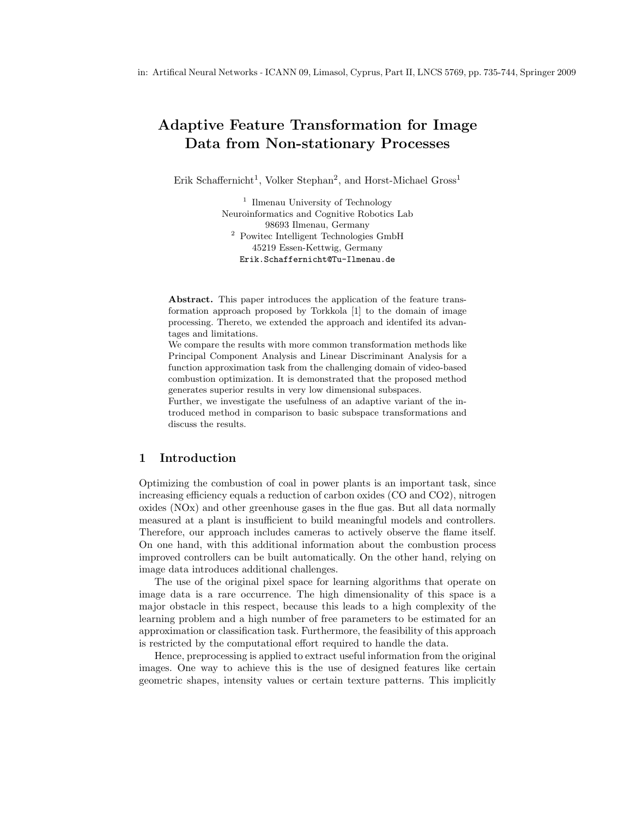# Adaptive Feature Transformation for Image Data from Non-stationary Processes

Erik Schaffernicht<sup>1</sup>, Volker Stephan<sup>2</sup>, and Horst-Michael Gross<sup>1</sup>

<sup>1</sup> Ilmenau University of Technology Neuroinformatics and Cognitive Robotics Lab 98693 Ilmenau, Germany <sup>2</sup> Powitec Intelligent Technologies GmbH 45219 Essen-Kettwig, Germany Erik.Schaffernicht@Tu-Ilmenau.de

Abstract. This paper introduces the application of the feature transformation approach proposed by Torkkola [1] to the domain of image processing. Thereto, we extended the approach and identifed its advantages and limitations.

We compare the results with more common transformation methods like Principal Component Analysis and Linear Discriminant Analysis for a function approximation task from the challenging domain of video-based combustion optimization. It is demonstrated that the proposed method generates superior results in very low dimensional subspaces.

Further, we investigate the usefulness of an adaptive variant of the introduced method in comparison to basic subspace transformations and discuss the results.

# 1 Introduction

Optimizing the combustion of coal in power plants is an important task, since increasing efficiency equals a reduction of carbon oxides (CO and CO2), nitrogen oxides (NOx) and other greenhouse gases in the flue gas. But all data normally measured at a plant is insufficient to build meaningful models and controllers. Therefore, our approach includes cameras to actively observe the flame itself. On one hand, with this additional information about the combustion process improved controllers can be built automatically. On the other hand, relying on image data introduces additional challenges.

The use of the original pixel space for learning algorithms that operate on image data is a rare occurrence. The high dimensionality of this space is a major obstacle in this respect, because this leads to a high complexity of the learning problem and a high number of free parameters to be estimated for an approximation or classification task. Furthermore, the feasibility of this approach is restricted by the computational effort required to handle the data.

Hence, preprocessing is applied to extract useful information from the original images. One way to achieve this is the use of designed features like certain geometric shapes, intensity values or certain texture patterns. This implicitly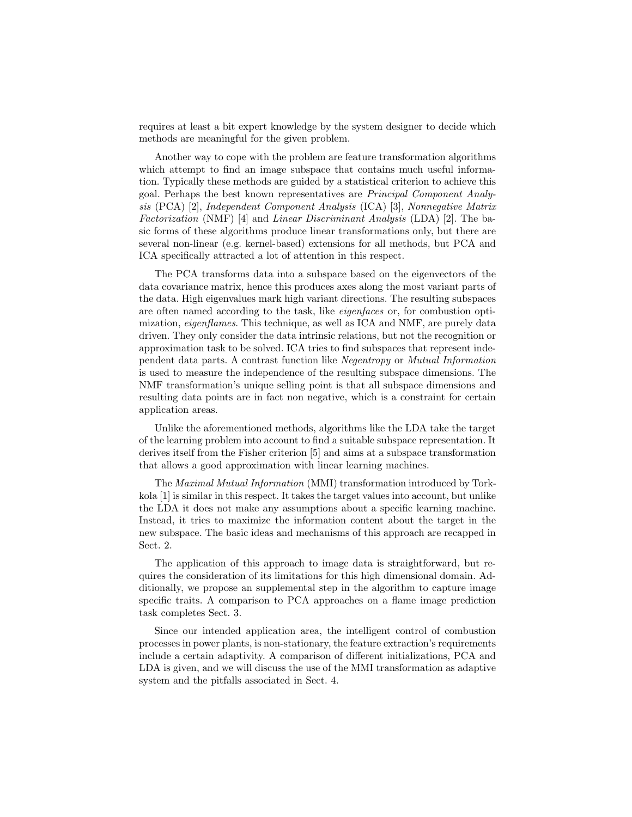requires at least a bit expert knowledge by the system designer to decide which methods are meaningful for the given problem.

Another way to cope with the problem are feature transformation algorithms which attempt to find an image subspace that contains much useful information. Typically these methods are guided by a statistical criterion to achieve this goal. Perhaps the best known representatives are Principal Component Analysis (PCA) [2], Independent Component Analysis (ICA) [3], Nonnegative Matrix Factorization (NMF) [4] and Linear Discriminant Analysis (LDA) [2]. The basic forms of these algorithms produce linear transformations only, but there are several non-linear (e.g. kernel-based) extensions for all methods, but PCA and ICA specifically attracted a lot of attention in this respect.

The PCA transforms data into a subspace based on the eigenvectors of the data covariance matrix, hence this produces axes along the most variant parts of the data. High eigenvalues mark high variant directions. The resulting subspaces are often named according to the task, like eigenfaces or, for combustion optimization, eigenflames. This technique, as well as ICA and NMF, are purely data driven. They only consider the data intrinsic relations, but not the recognition or approximation task to be solved. ICA tries to find subspaces that represent independent data parts. A contrast function like Negentropy or Mutual Information is used to measure the independence of the resulting subspace dimensions. The NMF transformation's unique selling point is that all subspace dimensions and resulting data points are in fact non negative, which is a constraint for certain application areas.

Unlike the aforementioned methods, algorithms like the LDA take the target of the learning problem into account to find a suitable subspace representation. It derives itself from the Fisher criterion [5] and aims at a subspace transformation that allows a good approximation with linear learning machines.

The Maximal Mutual Information (MMI) transformation introduced by Torkkola [1] is similar in this respect. It takes the target values into account, but unlike the LDA it does not make any assumptions about a specific learning machine. Instead, it tries to maximize the information content about the target in the new subspace. The basic ideas and mechanisms of this approach are recapped in Sect. 2.

The application of this approach to image data is straightforward, but requires the consideration of its limitations for this high dimensional domain. Additionally, we propose an supplemental step in the algorithm to capture image specific traits. A comparison to PCA approaches on a flame image prediction task completes Sect. 3.

Since our intended application area, the intelligent control of combustion processes in power plants, is non-stationary, the feature extraction's requirements include a certain adaptivity. A comparison of different initializations, PCA and LDA is given, and we will discuss the use of the MMI transformation as adaptive system and the pitfalls associated in Sect. 4.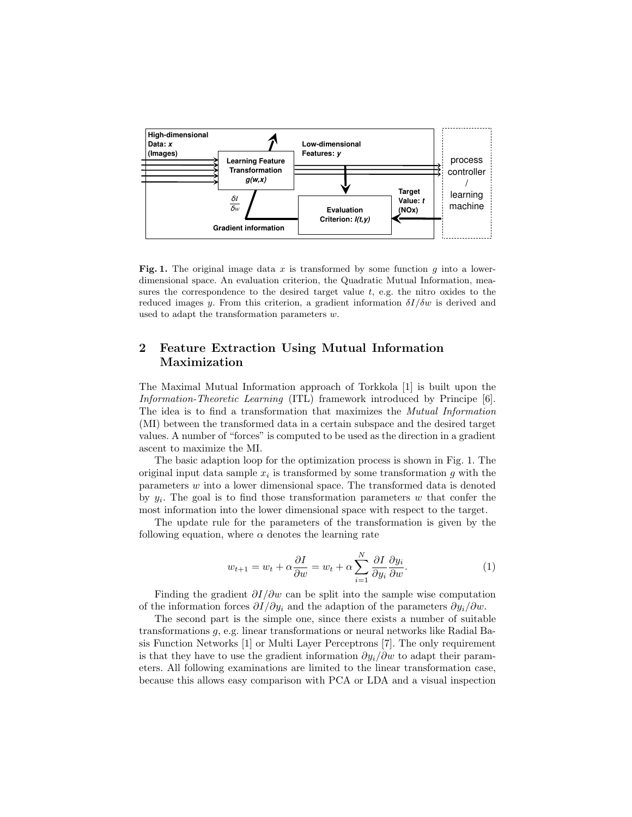

**Fig. 1.** The original image data x is transformed by some function q into a lowerdimensional space. An evaluation criterion, the Quadratic Mutual Information, measures the correspondence to the desired target value  $t$ , e.g. the nitro oxides to the reduced images y. From this criterion, a gradient information  $\delta I/\delta w$  is derived and used to adapt the transformation parameters  $w$ .

# 2 Feature Extraction Using Mutual Information Maximization

The Maximal Mutual Information approach of Torkkola [1] is built upon the Information-Theoretic Learning (ITL) framework introduced by Principe [6]. The idea is to find a transformation that maximizes the Mutual Information (MI) between the transformed data in a certain subspace and the desired target values. A number of "forces" is computed to be used as the direction in a gradient ascent to maximize the MI.

The basic adaption loop for the optimization process is shown in Fig. 1. The original input data sample  $x_i$  is transformed by some transformation g with the parameters w into a lower dimensional space. The transformed data is denoted by  $y_i$ . The goal is to find those transformation parameters w that confer the most information into the lower dimensional space with respect to the target.

The update rule for the parameters of the transformation is given by the following equation, where  $\alpha$  denotes the learning rate

$$
w_{t+1} = w_t + \alpha \frac{\partial I}{\partial w} = w_t + \alpha \sum_{i=1}^{N} \frac{\partial I}{\partial y_i} \frac{\partial y_i}{\partial w}.
$$
 (1)

Finding the gradient  $\partial I/\partial w$  can be split into the sample wise computation of the information forces  $\partial I/\partial y_i$  and the adaption of the parameters  $\partial y_i/\partial w$ .

The second part is the simple one, since there exists a number of suitable transformations g, e.g. linear transformations or neural networks like Radial Basis Function Networks [1] or Multi Layer Perceptrons [7]. The only requirement is that they have to use the gradient information  $\partial y_i/\partial w$  to adapt their parameters. All following examinations are limited to the linear transformation case, because this allows easy comparison with PCA or LDA and a visual inspection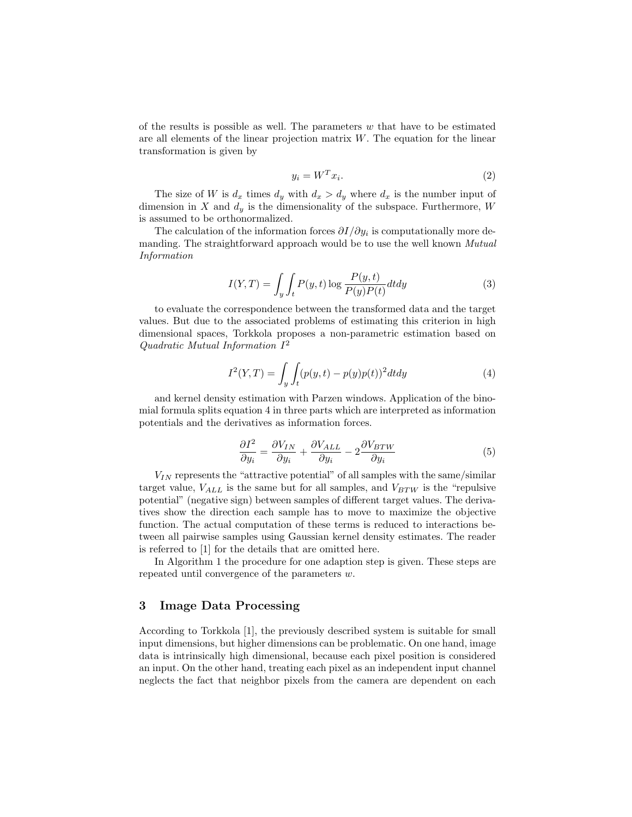of the results is possible as well. The parameters  $w$  that have to be estimated are all elements of the linear projection matrix  $W$ . The equation for the linear transformation is given by

$$
y_i = W^T x_i. \tag{2}
$$

The size of W is  $d_x$  times  $d_y$  with  $d_x > d_y$  where  $d_x$  is the number input of dimension in X and  $d_y$  is the dimensionality of the subspace. Furthermore, W is assumed to be orthonormalized.

The calculation of the information forces  $\partial I/\partial y_i$  is computationally more demanding. The straightforward approach would be to use the well known Mutual Information

$$
I(Y,T) = \int_{y} \int_{t} P(y,t) \log \frac{P(y,t)}{P(y)P(t)} dt dy
$$
\n(3)

to evaluate the correspondence between the transformed data and the target values. But due to the associated problems of estimating this criterion in high dimensional spaces, Torkkola proposes a non-parametric estimation based on Quadratic Mutual Information I 2

$$
I^{2}(Y,T) = \int_{y} \int_{t} (p(y,t) - p(y)p(t))^{2} dt dy
$$
\n(4)

and kernel density estimation with Parzen windows. Application of the binomial formula splits equation 4 in three parts which are interpreted as information potentials and the derivatives as information forces.

$$
\frac{\partial I^2}{\partial y_i} = \frac{\partial V_{IN}}{\partial y_i} + \frac{\partial V_{ALL}}{\partial y_i} - 2 \frac{\partial V_{BTW}}{\partial y_i}
$$
(5)

 $V_{IN}$  represents the "attractive potential" of all samples with the same/similar target value,  $V_{ALL}$  is the same but for all samples, and  $V_{BTW}$  is the "repulsive potential" (negative sign) between samples of different target values. The derivatives show the direction each sample has to move to maximize the objective function. The actual computation of these terms is reduced to interactions between all pairwise samples using Gaussian kernel density estimates. The reader is referred to [1] for the details that are omitted here.

In Algorithm 1 the procedure for one adaption step is given. These steps are repeated until convergence of the parameters w.

## 3 Image Data Processing

According to Torkkola [1], the previously described system is suitable for small input dimensions, but higher dimensions can be problematic. On one hand, image data is intrinsically high dimensional, because each pixel position is considered an input. On the other hand, treating each pixel as an independent input channel neglects the fact that neighbor pixels from the camera are dependent on each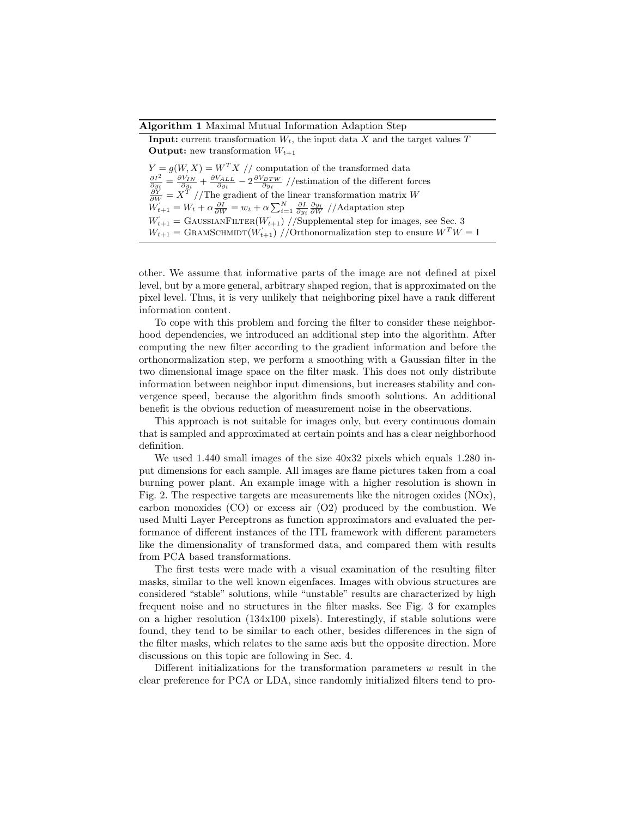#### Algorithm 1 Maximal Mutual Information Adaption Step

**Input:** current transformation  $W_t$ , the input data X and the target values T **Output:** new transformation  $W_{t+1}$  $Y = g(W, X) = W<sup>T</sup> X / \text{(computation of the transformed data)}$  $\frac{\partial I^2}{\partial y_i} = \frac{\partial V_{IN}}{\partial y_i} + \frac{\partial V_{ALL}}{\partial y_i} - 2 \frac{\partial V_{BTW}}{\partial y_i}$  //estimation of the different forces  $\frac{\partial Y}{\partial W} = X^T$  //The gradient of the linear transformation matrix W  $W_{t+1}^{'} = W_t + \alpha \frac{\partial I}{\partial W} = w_t + \alpha \sum_{i=1}^{N} \frac{\partial I}{\partial y_i} \frac{\partial y_i}{\partial W} / A$ daptation step  $W_{t+1}^{'} =$  GAUSSIANFILTER $(W_{t+1}^{'} )$  //Supplemental step for images, see Sec. 3  $W_{t+1} = \text{GRAMSCHMIDT}(W_{t+1})$  //Orthonormalization step to ensure  $W^T W = \text{I}$ 

other. We assume that informative parts of the image are not defined at pixel level, but by a more general, arbitrary shaped region, that is approximated on the pixel level. Thus, it is very unlikely that neighboring pixel have a rank different information content.

To cope with this problem and forcing the filter to consider these neighborhood dependencies, we introduced an additional step into the algorithm. After computing the new filter according to the gradient information and before the orthonormalization step, we perform a smoothing with a Gaussian filter in the two dimensional image space on the filter mask. This does not only distribute information between neighbor input dimensions, but increases stability and convergence speed, because the algorithm finds smooth solutions. An additional benefit is the obvious reduction of measurement noise in the observations.

This approach is not suitable for images only, but every continuous domain that is sampled and approximated at certain points and has a clear neighborhood definition.

We used 1.440 small images of the size 40x32 pixels which equals 1.280 input dimensions for each sample. All images are flame pictures taken from a coal burning power plant. An example image with a higher resolution is shown in Fig. 2. The respective targets are measurements like the nitrogen oxides  $(NOx)$ , carbon monoxides (CO) or excess air (O2) produced by the combustion. We used Multi Layer Perceptrons as function approximators and evaluated the performance of different instances of the ITL framework with different parameters like the dimensionality of transformed data, and compared them with results from PCA based transformations.

The first tests were made with a visual examination of the resulting filter masks, similar to the well known eigenfaces. Images with obvious structures are considered "stable" solutions, while "unstable" results are characterized by high frequent noise and no structures in the filter masks. See Fig. 3 for examples on a higher resolution (134x100 pixels). Interestingly, if stable solutions were found, they tend to be similar to each other, besides differences in the sign of the filter masks, which relates to the same axis but the opposite direction. More discussions on this topic are following in Sec. 4.

Different initializations for the transformation parameters  $w$  result in the clear preference for PCA or LDA, since randomly initialized filters tend to pro-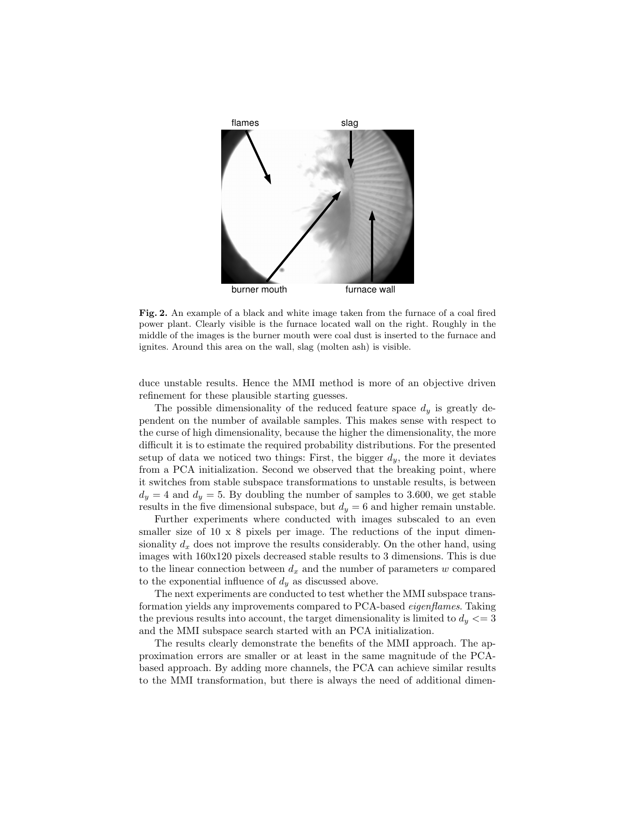

Fig. 2. An example of a black and white image taken from the furnace of a coal fired power plant. Clearly visible is the furnace located wall on the right. Roughly in the middle of the images is the burner mouth were coal dust is inserted to the furnace and ignites. Around this area on the wall, slag (molten ash) is visible.

duce unstable results. Hence the MMI method is more of an objective driven refinement for these plausible starting guesses.

The possible dimensionality of the reduced feature space  $d_y$  is greatly dependent on the number of available samples. This makes sense with respect to the curse of high dimensionality, because the higher the dimensionality, the more difficult it is to estimate the required probability distributions. For the presented setup of data we noticed two things: First, the bigger  $d_y$ , the more it deviates from a PCA initialization. Second we observed that the breaking point, where it switches from stable subspace transformations to unstable results, is between  $d_y = 4$  and  $d_y = 5$ . By doubling the number of samples to 3.600, we get stable results in the five dimensional subspace, but  $d_y = 6$  and higher remain unstable.

Further experiments where conducted with images subscaled to an even smaller size of 10 x 8 pixels per image. The reductions of the input dimensionality  $d_x$  does not improve the results considerably. On the other hand, using images with 160x120 pixels decreased stable results to 3 dimensions. This is due to the linear connection between  $d_x$  and the number of parameters w compared to the exponential influence of  $d<sub>y</sub>$  as discussed above.

The next experiments are conducted to test whether the MMI subspace transformation yields any improvements compared to PCA-based eigenflames. Taking the previous results into account, the target dimensionality is limited to  $d_y \leq 3$ and the MMI subspace search started with an PCA initialization.

The results clearly demonstrate the benefits of the MMI approach. The approximation errors are smaller or at least in the same magnitude of the PCAbased approach. By adding more channels, the PCA can achieve similar results to the MMI transformation, but there is always the need of additional dimen-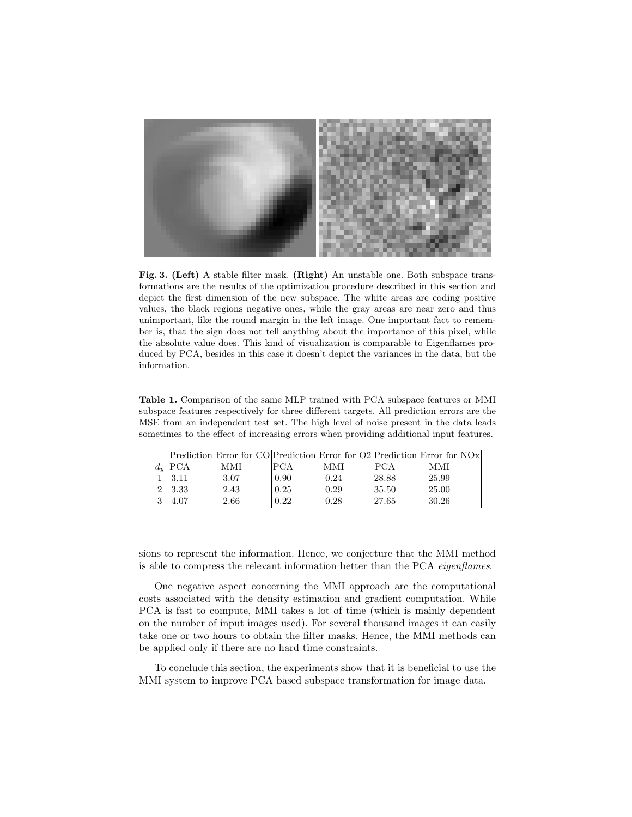

Fig. 3. (Left) A stable filter mask. (Right) An unstable one. Both subspace transformations are the results of the optimization procedure described in this section and depict the first dimension of the new subspace. The white areas are coding positive values, the black regions negative ones, while the gray areas are near zero and thus unimportant, like the round margin in the left image. One important fact to remember is, that the sign does not tell anything about the importance of this pixel, while the absolute value does. This kind of visualization is comparable to Eigenflames produced by PCA, besides in this case it doesn't depict the variances in the data, but the information.

Table 1. Comparison of the same MLP trained with PCA subspace features or MMI subspace features respectively for three different targets. All prediction errors are the MSE from an independent test set. The high level of noise present in the data leads sometimes to the effect of increasing errors when providing additional input features.

| Prediction Error for CO   Prediction Error for O2  Prediction Error for NO <sub>x</sub> |      |            |      |            |       |  |
|-----------------------------------------------------------------------------------------|------|------------|------|------------|-------|--|
| <b>IPCA</b>                                                                             | MMI  | <b>PCA</b> | MMI  | <b>PCA</b> | MMI   |  |
| $\parallel$ 3.11                                                                        | 3.07 | 0.90       | 0.24 | 28.88      | 25.99 |  |
| $\parallel$ 3.33                                                                        | 2.43 | 0.25       | 0.29 | 35.50      | 25.00 |  |
|                                                                                         | 2.66 | 0.22       | 0.28 | 27.65      | 30.26 |  |

sions to represent the information. Hence, we conjecture that the MMI method is able to compress the relevant information better than the PCA eigenflames.

One negative aspect concerning the MMI approach are the computational costs associated with the density estimation and gradient computation. While PCA is fast to compute, MMI takes a lot of time (which is mainly dependent on the number of input images used). For several thousand images it can easily take one or two hours to obtain the filter masks. Hence, the MMI methods can be applied only if there are no hard time constraints.

To conclude this section, the experiments show that it is beneficial to use the MMI system to improve PCA based subspace transformation for image data.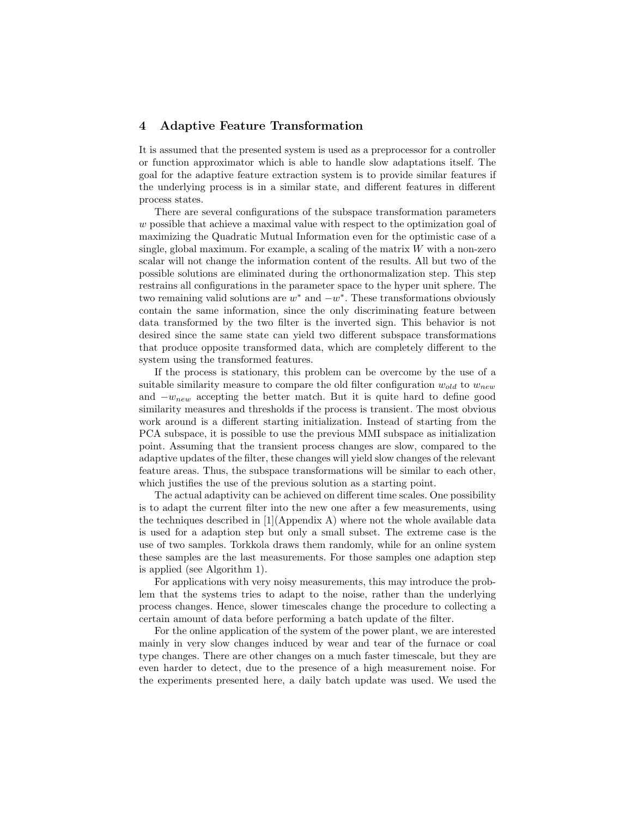### 4 Adaptive Feature Transformation

It is assumed that the presented system is used as a preprocessor for a controller or function approximator which is able to handle slow adaptations itself. The goal for the adaptive feature extraction system is to provide similar features if the underlying process is in a similar state, and different features in different process states.

There are several configurations of the subspace transformation parameters w possible that achieve a maximal value with respect to the optimization goal of maximizing the Quadratic Mutual Information even for the optimistic case of a single, global maximum. For example, a scaling of the matrix  $W$  with a non-zero scalar will not change the information content of the results. All but two of the possible solutions are eliminated during the orthonormalization step. This step restrains all configurations in the parameter space to the hyper unit sphere. The two remaining valid solutions are  $w^*$  and  $-w^*$ . These transformations obviously contain the same information, since the only discriminating feature between data transformed by the two filter is the inverted sign. This behavior is not desired since the same state can yield two different subspace transformations that produce opposite transformed data, which are completely different to the system using the transformed features.

If the process is stationary, this problem can be overcome by the use of a suitable similarity measure to compare the old filter configuration  $w_{old}$  to  $w_{new}$ and  $-w_{new}$  accepting the better match. But it is quite hard to define good similarity measures and thresholds if the process is transient. The most obvious work around is a different starting initialization. Instead of starting from the PCA subspace, it is possible to use the previous MMI subspace as initialization point. Assuming that the transient process changes are slow, compared to the adaptive updates of the filter, these changes will yield slow changes of the relevant feature areas. Thus, the subspace transformations will be similar to each other, which justifies the use of the previous solution as a starting point.

The actual adaptivity can be achieved on different time scales. One possibility is to adapt the current filter into the new one after a few measurements, using the techniques described in  $[1]$ (Appendix A) where not the whole available data is used for a adaption step but only a small subset. The extreme case is the use of two samples. Torkkola draws them randomly, while for an online system these samples are the last measurements. For those samples one adaption step is applied (see Algorithm 1).

For applications with very noisy measurements, this may introduce the problem that the systems tries to adapt to the noise, rather than the underlying process changes. Hence, slower timescales change the procedure to collecting a certain amount of data before performing a batch update of the filter.

For the online application of the system of the power plant, we are interested mainly in very slow changes induced by wear and tear of the furnace or coal type changes. There are other changes on a much faster timescale, but they are even harder to detect, due to the presence of a high measurement noise. For the experiments presented here, a daily batch update was used. We used the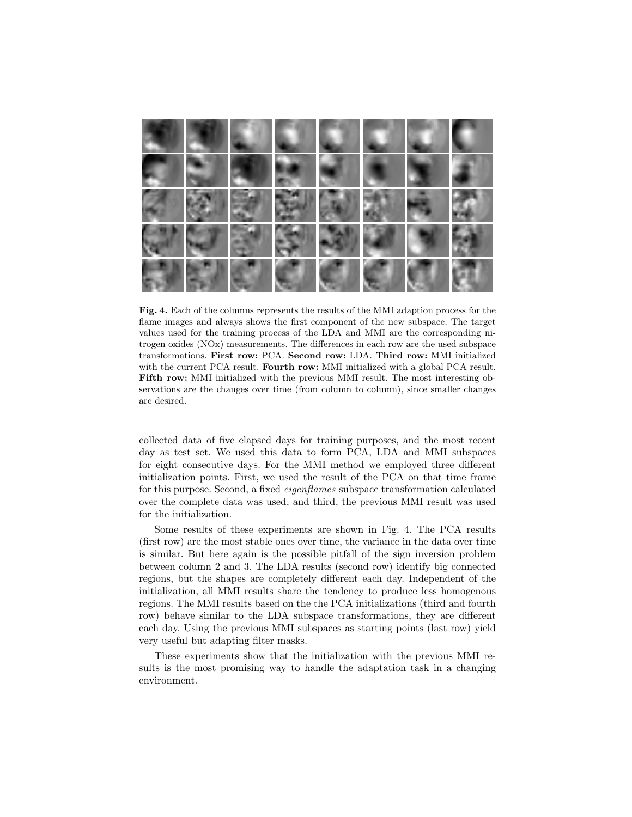

Fig. 4. Each of the columns represents the results of the MMI adaption process for the flame images and always shows the first component of the new subspace. The target values used for the training process of the LDA and MMI are the corresponding nitrogen oxides (NOx) measurements. The differences in each row are the used subspace transformations. First row: PCA. Second row: LDA. Third row: MMI initialized with the current PCA result. Fourth row: MMI initialized with a global PCA result. Fifth row: MMI initialized with the previous MMI result. The most interesting observations are the changes over time (from column to column), since smaller changes are desired.

collected data of five elapsed days for training purposes, and the most recent day as test set. We used this data to form PCA, LDA and MMI subspaces for eight consecutive days. For the MMI method we employed three different initialization points. First, we used the result of the PCA on that time frame for this purpose. Second, a fixed eigenflames subspace transformation calculated over the complete data was used, and third, the previous MMI result was used for the initialization.

Some results of these experiments are shown in Fig. 4. The PCA results (first row) are the most stable ones over time, the variance in the data over time is similar. But here again is the possible pitfall of the sign inversion problem between column 2 and 3. The LDA results (second row) identify big connected regions, but the shapes are completely different each day. Independent of the initialization, all MMI results share the tendency to produce less homogenous regions. The MMI results based on the the PCA initializations (third and fourth row) behave similar to the LDA subspace transformations, they are different each day. Using the previous MMI subspaces as starting points (last row) yield very useful but adapting filter masks.

These experiments show that the initialization with the previous MMI results is the most promising way to handle the adaptation task in a changing environment.